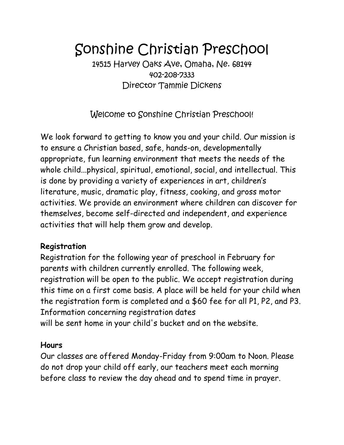# Sonshine Christian Preschool

14515 Harvey Oaks Ave, Omaha, Ne. 68144 402-208-7333 Director Tammie Dickens

Welcome to Sonshine Christian Preschool!

We look forward to getting to know you and your child. Our mission is to ensure a Christian based, safe, hands-on, developmentally appropriate, fun learning environment that meets the needs of the whole child...physical, spiritual, emotional, social, and intellectual. This is done by providing a variety of experiences in art, children's literature, music, dramatic play, fitness, cooking, and gross motor activities. We provide an environment where children can discover for themselves, become self-directed and independent, and experience activities that will help them grow and develop.

## **Registration**

Registration for the following year of preschool in February for parents with children currently enrolled. The following week, registration will be open to the public. We accept registration during this time on a first come basis. A place will be held for your child when the registration form is completed and a \$60 fee for all P1, P2, and P3. Information concerning registration dates will be sent home in your child's bucket and on the website.

#### **Hours**

Our classes are offered Monday-Friday from 9:00am to Noon. Please do not drop your child off early, our teachers meet each morning before class to review the day ahead and to spend time in prayer.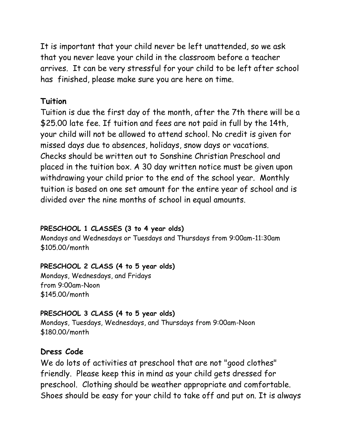It is important that your child never be left unattended, so we ask that you never leave your child in the classroom before a teacher arrives. It can be very stressful for your child to be left after school has finished, please make sure you are here on time.

#### **Tuition**

Tuition is due the first day of the month, after the 7th there will be a \$25.00 late fee. If tuition and fees are not paid in full by the 14th, your child will not be allowed to attend school. No credit is given for missed days due to absences, holidays, snow days or vacations. Checks should be written out to Sonshine Christian Preschool and placed in the tuition box. A 30 day written notice must be given upon withdrawing your child prior to the end of the school year. Monthly tuition is based on one set amount for the entire year of school and is divided over the nine months of school in equal amounts.

#### **PRESCHOOL 1 CLASSES (3 to 4 year olds)**

Mondays and Wednesdays or Tuesdays and Thursdays from 9:00am-11:30am \$105.00/month

#### **PRESCHOOL 2 CLASS (4 to 5 year olds)**

Mondays, Wednesdays, and Fridays from 9:00am-Noon \$145.00/month

#### **PRESCHOOL 3 CLASS (4 to 5 year olds)**

Mondays, Tuesdays, Wednesdays, and Thursdays from 9:00am-Noon \$180.00/month

#### **Dress Code**

We do lots of activities at preschool that are not "good clothes" friendly. Please keep this in mind as your child gets dressed for preschool. Clothing should be weather appropriate and comfortable. Shoes should be easy for your child to take off and put on. It is always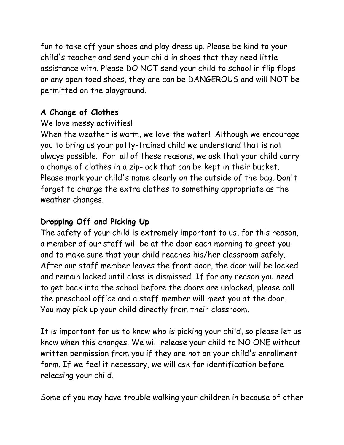fun to take off your shoes and play dress up. Please be kind to your child's teacher and send your child in shoes that they need little assistance with. Please DO NOT send your child to school in flip flops or any open toed shoes, they are can be DANGEROUS and will NOT be permitted on the playground.

## **A Change of Clothes**

# We love messy activities!

When the weather is warm, we love the water! Although we encourage you to bring us your potty-trained child we understand that is not always possible. For all of these reasons, we ask that your child carry a change of clothes in a zip-lock that can be kept in their bucket. Please mark your child's name clearly on the outside of the bag. Don't forget to change the extra clothes to something appropriate as the weather changes.

# **Dropping Off and Picking Up**

The safety of your child is extremely important to us, for this reason, a member of our staff will be at the door each morning to greet you and to make sure that your child reaches his/her classroom safely. After our staff member leaves the front door, the door will be locked and remain locked until class is dismissed. If for any reason you need to get back into the school before the doors are unlocked, please call the preschool office and a staff member will meet you at the door. You may pick up your child directly from their classroom.

It is important for us to know who is picking your child, so please let us know when this changes. We will release your child to NO ONE without written permission from you if they are not on your child's enrollment form. If we feel it necessary, we will ask for identification before releasing your child.

Some of you may have trouble walking your children in because of other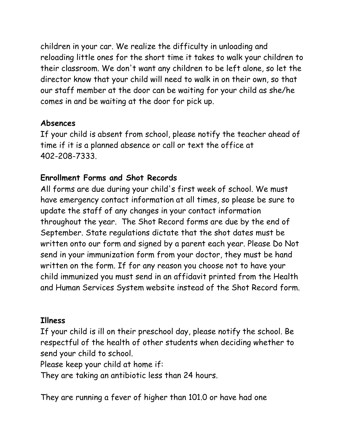children in your car. We realize the difficulty in unloading and reloading little ones for the short time it takes to walk your children to their classroom. We don't want any children to be left alone, so let the director know that your child will need to walk in on their own, so that our staff member at the door can be waiting for your child as she/he comes in and be waiting at the door for pick up.

#### **Absences**

If your child is absent from school, please notify the teacher ahead of time if it is a planned absence or call or text the office at 402-208-7333.

# **Enrollment Forms and Shot Records**

All forms are due during your child's first week of school. We must have emergency contact information at all times, so please be sure to update the staff of any changes in your contact information throughout the year. The Shot Record forms are due by the end of September. State regulations dictate that the shot dates must be written onto our form and signed by a parent each year. Please Do Not send in your immunization form from your doctor, they must be hand written on the form. If for any reason you choose not to have your child immunized you must send in an affidavit printed from the Health and Human Services System website instead of the Shot Record form.

#### **Illness**

If your child is ill on their preschool day, please notify the school. Be respectful of the health of other students when deciding whether to send your child to school.

Please keep your child at home if:

They are taking an antibiotic less than 24 hours.

They are running a fever of higher than 101.0 or have had one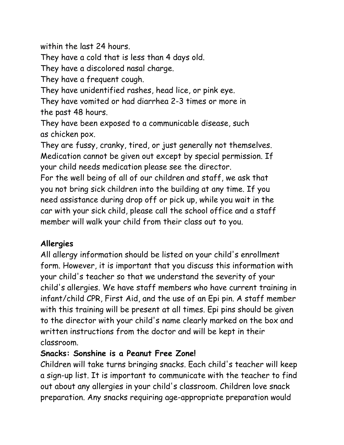within the last 24 hours.

They have a cold that is less than 4 days old.

They have a discolored nasal charge.

They have a frequent cough.

They have unidentified rashes, head lice, or pink eye.

They have vomited or had diarrhea 2-3 times or more in the past 48 hours.

They have been exposed to a communicable disease, such as chicken pox.

They are fussy, cranky, tired, or just generally not themselves. Medication cannot be given out except by special permission. If your child needs medication please see the director.

For the well being of all of our children and staff, we ask that you not bring sick children into the building at any time. If you need assistance during drop off or pick up, while you wait in the car with your sick child, please call the school office and a staff member will walk your child from their class out to you.

# **Allergies**

All allergy information should be listed on your child's enrollment form. However, it is important that you discuss this information with your child's teacher so that we understand the severity of your child's allergies. We have staff members who have current training in infant/child CPR, First Aid, and the use of an Epi pin. A staff member with this training will be present at all times. Epi pins should be given to the director with your child's name clearly marked on the box and written instructions from the doctor and will be kept in their classroom.

## **Snacks: Sonshine is a Peanut Free Zone!**

Children will take turns bringing snacks. Each child's teacher will keep a sign-up list. It is important to communicate with the teacher to find out about any allergies in your child's classroom. Children love snack preparation. Any snacks requiring age-appropriate preparation would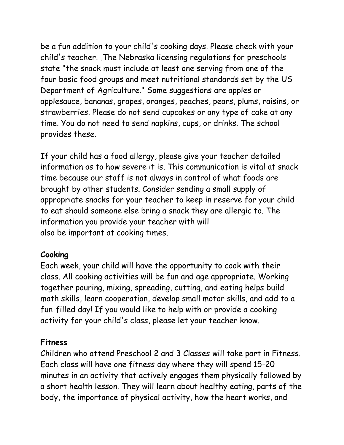be a fun addition to your child's cooking days. Please check with your child's teacher. ,The Nebraska licensing regulations for preschools state "the snack must include at least one serving from one of the four basic food groups and meet nutritional standards set by the US Department of Agriculture." Some suggestions are apples or applesauce, bananas, grapes, oranges, peaches, pears, plums, raisins, or strawberries. Please do not send cupcakes or any type of cake at any time. You do not need to send napkins, cups, or drinks. The school provides these.

If your child has a food allergy, please give your teacher detailed information as to how severe it is. This communication is vital at snack time because our staff is not always in control of what foods are brought by other students. Consider sending a small supply of appropriate snacks for your teacher to keep in reserve for your child to eat should someone else bring a snack they are allergic to. The information you provide your teacher with will also be important at cooking times.

#### **Cooking**

Each week, your child will have the opportunity to cook with their class. All cooking activities will be fun and age appropriate. Working together pouring, mixing, spreading, cutting, and eating helps build math skills, learn cooperation, develop small motor skills, and add to a fun-filled day! If you would like to help with or provide a cooking activity for your child's class, please let your teacher know.

## **Fitness**

Children who attend Preschool 2 and 3 Classes will take part in Fitness. Each class will have one fitness day where they will spend 15-20 minutes in an activity that actively engages them physically followed by a short health lesson. They will learn about healthy eating, parts of the body, the importance of physical activity, how the heart works, and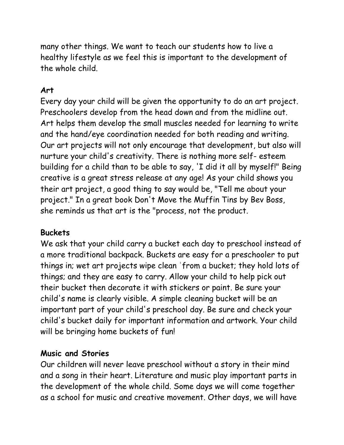many other things. We want to teach our students how to live a healthy lifestyle as we feel this is important to the development of the whole child.

## **Art**

Every day your child will be given the opportunity to do an art project. Preschoolers develop from the head down and from the midline out. Art helps them develop the small muscles needed for learning to write and the hand/eye coordination needed for both reading and writing. Our art projects will not only encourage that development, but also will nurture your child's creativity. There is nothing more self- esteem building for a child than to be able to say, 'I did it all by myself!" Being creative is a great stress release at any age! As your child shows you their art project, a good thing to say would be, "Tell me about your project." In a great book Don't Move the Muffin Tins by Bev Boss, she reminds us that art is the "process, not the product.

#### **Buckets**

We ask that your child carry a bucket each day to preschool instead of a more traditional backpack. Buckets are easy for a preschooler to put things in; wet art projects wipe clean 'from a bucket; they hold lots of things; and they are easy to carry. Allow your child to help pick out their bucket then decorate it with stickers or paint. Be sure your child's name is clearly visible. A simple cleaning bucket will be an important part of your child's preschool day. Be sure and check your child's bucket daily for important information and artwork. Your child will be bringing home buckets of fun!

#### **Music and Stories**

Our children will never leave preschool without a story in their mind and a song in their heart. Literature and music play important parts in the development of the whole child. Some days we will come together as a school for music and creative movement. Other days, we will have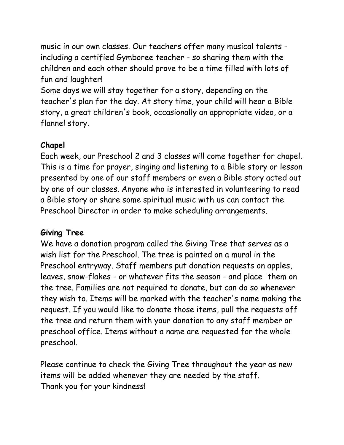music in our own classes. Our teachers offer many musical talents including a certified Gymboree teacher - so sharing them with the children and each other should prove to be a time filled with lots of fun and laughter!

Some days we will stay together for a story, depending on the teacher's plan for the day. At story time, your child will hear a Bible story, a great children's book, occasionally an appropriate video, or a flannel story.

# **Chapel**

Each week, our Preschool 2 and 3 classes will come together for chapel. This is a time for prayer, singing and listening to a Bible story or lesson presented by one of our staff members or even a Bible story acted out by one of our classes. Anyone who is interested in volunteering to read a Bible story or share some spiritual music with us can contact the Preschool Director in order to make scheduling arrangements.

#### **Giving Tree**

We have a donation program called the Giving Tree that serves as a wish list for the Preschool. The tree is painted on a mural in the Preschool entryway. Staff members put donation requests on apples, leaves, snow-flakes - or whatever fits the season - and place 'them on the tree. Families are not required to donate, but can do so whenever they wish to. Items will be marked with the teacher's name making the request. If you would like to donate those items, pull the requests off the tree and return them with your donation to any staff member or preschool office. Items without a name are requested for the whole preschool.

Please continue to check the Giving Tree throughout the year as new items will be added whenever they are needed by the staff. Thank you for your kindness!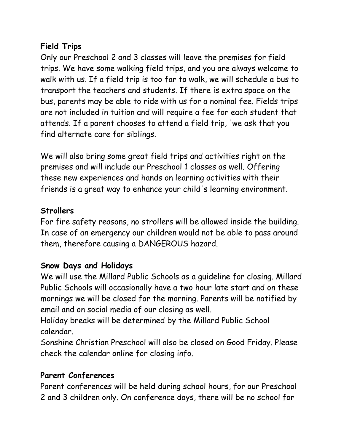# **Field Trips**

Only our Preschool 2 and 3 classes will leave the premises for field trips. We have some walking field trips, and you are always welcome to walk with us. If a field trip is too far to walk, we will schedule a bus to transport the teachers and students. If there is extra space on the bus, parents may be able to ride with us for a nominal fee. Fields trips are not included in tuition and will require a fee for each student that attends. If a parent chooses to attend a field trip, 'we ask that you find alternate care for siblings.

We will also bring some great field trips and activities right on the premises and will include our Preschool 1 classes as well. Offering these new experiences and hands on learning activities with their friends is a great way to enhance your child's learning environment.

# **Strollers**

For fire safety reasons, no strollers will be allowed inside the building. In case of an emergency our children would not be able to pass around them, therefore causing a DANGEROUS hazard.

# **Snow Days and Holidays**

We will use the Millard Public Schools as a guideline for closing. Millard Public Schools will occasionally have a two hour late start and on these mornings we will be closed for the morning. Parents will be notified by email and on social media of our closing as well.

Holiday breaks will be determined by the Millard Public School calendar.

Sonshine Christian Preschool will also be closed on Good Friday. Please check the calendar online for closing info.

# **Parent Conferences**

Parent conferences will be held during school hours, for our Preschool 2 and 3 children only. On conference days, there will be no school for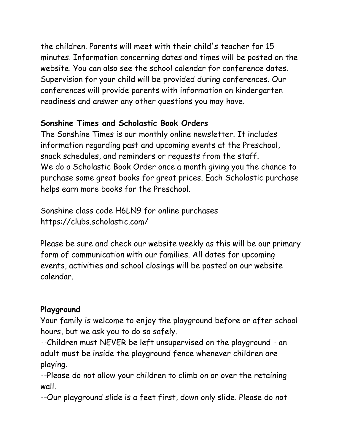the children. Parents will meet with their child's teacher for 15 minutes. Information concerning dates and times will be posted on the website. You can also see the school calendar for conference dates. Supervision for your child will be provided during conferences. Our conferences will provide parents with information on kindergarten readiness and answer any other questions you may have.

# **Sonshine Times and Scholastic Book Orders**

The Sonshine Times is our monthly online newsletter. It includes information regarding past and upcoming events at the Preschool, snack schedules, and reminders or requests from the staff. We do a Scholastic Book Order once a month giving you the chance to purchase some great books for great prices. Each Scholastic purchase helps earn more books for the Preschool.

Sonshine class code H6LN9 for online purchases https://clubs.scholastic.com/

Please be sure and check our website weekly as this will be our primary form of communication with our families. All dates for upcoming events, activities and school closings will be posted on our website calendar.

## **Playground**

Your family is welcome to enjoy the playground before or after school hours, but we ask you to do so safely.

--Children must NEVER be left unsupervised on the playground - an adult must be inside the playground fence whenever children are playing.

--Please do not allow your children to climb on or over the retaining wall.

--Our playground slide is a feet first, down only slide. Please do not